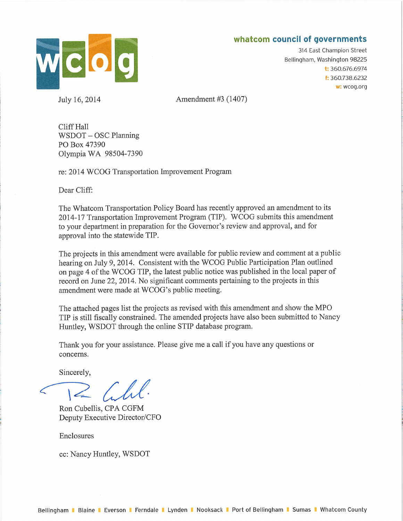# whatcom council of governments



July 16, 2014

314 East Champion Street Bellingham, Washington 98225 t: 360.676.6974 f: 360.738.6232 w: wcog.org

Amendment #3 (1407)

Cliff Hall WSDOT - OSC Planning PO Box 47390 Olympia WA 98504-7390

re: 2014 WCOG Transportation Improvement Program

Dear Cliff:

The Whatcom Transportation Policy Board has recently approved an amendment to its 2014-17 Transportation Improvement Program (TIP). WCOG submits this amendment to your department in preparation for the Governor's review and approval, and for approval into the statewide TIP.

The projects in this amendment were available for public review and comment at a public hearing on July 9, 2014. Consistent with the WCOG Public Participation Plan outlined on page 4 of the WCOG TIP, the latest public notice was published in the local paper of record on June 22, 2014. No significant comments pertaining to the projects in this amendment were made at WCOG's public meeting.

The attached pages list the projects as revised with this amendment and show the MPO TIP is still fiscally constrained. The amended projects have also been submitted to Nancy Huntley, WSDOT through the online STIP database program.

Thank you for your assistance. Please give me a call if you have any questions or concerns.

Sincerely,

 $=$   $Lll.$ 

Ron Cubellis, CPA CGFM Deputy Executive Director/CFO

Enclosures

cc: Nancy Huntley, WSDOT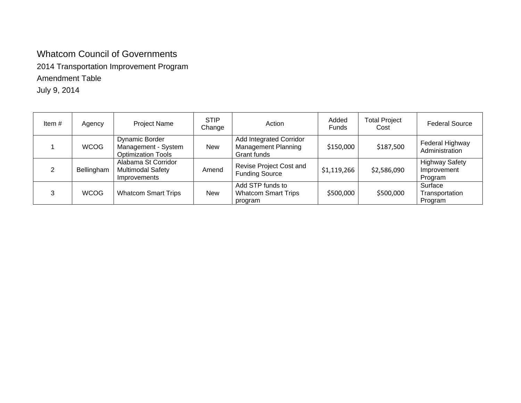# Whatcom Council of Governments

2014 Transportation Improvement Program

## Amendment Table

July 9, 2014

| Item# | Agency      | <b>Project Name</b>                                                       | <b>STIP</b><br>Change | Action                                                               | Added<br><b>Funds</b> | <b>Total Project</b><br>Cost | <b>Federal Source</b>                           |
|-------|-------------|---------------------------------------------------------------------------|-----------------------|----------------------------------------------------------------------|-----------------------|------------------------------|-------------------------------------------------|
|       | <b>WCOG</b> | <b>Dynamic Border</b><br>Management - System<br><b>Optimization Tools</b> | <b>New</b>            | Add Integrated Corridor<br><b>Management Planning</b><br>Grant funds | \$150,000             | \$187,500                    | Federal Highway<br>Administration               |
|       | Bellingham  | Alabama St Corridor<br><b>Multimodal Safety</b><br>Improvements           | Amend                 | Revise Project Cost and<br><b>Funding Source</b>                     | \$1,119,266           | \$2,586,090                  | <b>Highway Safety</b><br>Improvement<br>Program |
|       | <b>WCOG</b> | <b>Whatcom Smart Trips</b>                                                | <b>New</b>            | Add STP funds to<br><b>Whatcom Smart Trips</b><br>program            | \$500,000             | \$500,000                    | Surface<br>Transportation<br>Program            |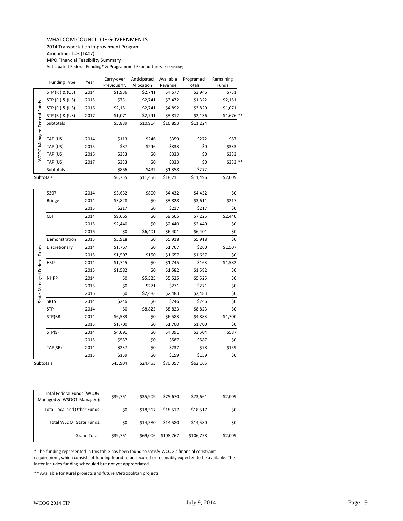#### WHATCOM COUNCIL OF GOVERNMENTS

2014 Transportation Improvement Program

Amendment #3 (1407)

MPO Financial Feasibility Summary

Anticipated Federal Funding\* & Programmed Expenditures (in Thousands)

|              | <b>Funding Type</b> | Year | Carry-over<br>Previous Yr. | Anticipated<br>Allocation | Available<br>Revenue | Programed<br>Totals | Remaining<br>Funds |
|--------------|---------------------|------|----------------------------|---------------------------|----------------------|---------------------|--------------------|
|              | STP (R) & (US)      | 2014 | \$1,936                    | \$2,741                   | \$4,677              | \$3,946             | \$731              |
|              | STP (R) & (US)      | 2015 | \$731                      | \$2,741                   | \$3,472              | \$1,322             | \$2,151            |
| Funds        | STP (R) & (US)      | 2016 | \$2,151                    | \$2,741                   | \$4,892              | \$3,820             | \$1,071            |
|              | STP (R) & (US)      | 2017 | \$1,071                    | \$2,741                   | \$3,812              | \$2,136             | $$1,676$ **        |
| Federal      | <b>Subtotals</b>    |      | \$5,889                    | \$10,964                  | \$16,853             | \$11,224            |                    |
|              |                     |      |                            |                           |                      |                     |                    |
| WCOG-Managed | TAP (US)            | 2014 | \$113                      | \$246                     | \$359                | \$272               | \$87               |
|              | TAP (US)            | 2015 | \$87                       | \$246                     | \$333                | \$0                 | \$333              |
|              | TAP (US)            | 2016 | \$333                      | \$0                       | \$333                | \$0                 | \$333              |
|              | TAP (US)            | 2017 | \$333                      | \$0                       | \$333                | \$0                 | \$333 **           |
|              | <b>Subtotals</b>    |      | \$866                      | \$492                     | \$1,358              | \$272               |                    |
| Subtotals    |                     |      | \$6,755                    | \$11,456                  | \$18,211             | \$11,496            | \$2,009            |

|                             | וכטן אטן חוך                                                                                                                                                                                                                                                                                                                              | <b>LUT</b>          | ⊥ر ب     | 74,141   | ے ، ہیں ب | عەدر⊥ب    | 1 د 1 ر 2 ب |
|-----------------------------|-------------------------------------------------------------------------------------------------------------------------------------------------------------------------------------------------------------------------------------------------------------------------------------------------------------------------------------------|---------------------|----------|----------|-----------|-----------|-------------|
|                             | STP (R) & (US)                                                                                                                                                                                                                                                                                                                            | 2016                | \$2,151  | \$2,741  | \$4,892   | \$3,820   | \$1,071     |
|                             | STP (R) & (US)                                                                                                                                                                                                                                                                                                                            | 2017                | \$1,071  | \$2,741  | \$3,812   | \$2,136   | \$1,676     |
| WCOG-Managed Federal Funds  | Subtotals                                                                                                                                                                                                                                                                                                                                 |                     | \$5,889  | \$10,964 | \$16,853  | \$11,224  |             |
|                             | TAP (US)                                                                                                                                                                                                                                                                                                                                  | 2014                | \$113    | \$246    | \$359     | \$272     | \$87        |
|                             | TAP (US)                                                                                                                                                                                                                                                                                                                                  | 2015                | \$87     | \$246    | \$333     | \$0       | \$333       |
|                             | TAP (US)                                                                                                                                                                                                                                                                                                                                  | 2016                | \$333    | \$0      | \$333     | \$0       | \$333       |
|                             | TAP (US)                                                                                                                                                                                                                                                                                                                                  | 2017                | \$333    | \$0      | \$333     | \$0       | \$333       |
|                             | Subtotals                                                                                                                                                                                                                                                                                                                                 |                     | \$866    | \$492    | \$1,358   | \$272     |             |
| Subtotals                   |                                                                                                                                                                                                                                                                                                                                           |                     | \$6,755  | \$11,456 | \$18,211  | \$11,496  | \$2,009     |
|                             | 5307                                                                                                                                                                                                                                                                                                                                      | 2014                | \$3,632  | \$800    | \$4,432   | \$4,432   | \$0         |
|                             | <b>Bridge</b>                                                                                                                                                                                                                                                                                                                             | 2014                | \$3,828  | \$0      | \$3,828   | \$3,611   | \$217       |
|                             |                                                                                                                                                                                                                                                                                                                                           | 2015                | \$217    | \$0      | \$217     | \$217     | \$0         |
|                             | CBI                                                                                                                                                                                                                                                                                                                                       | 2014                | \$9,665  | \$0      | \$9,665   | \$7,225   | \$2,440     |
|                             |                                                                                                                                                                                                                                                                                                                                           | 2015                | \$2,440  | \$0      | \$2,440   | \$2,440   | \$0         |
|                             |                                                                                                                                                                                                                                                                                                                                           | 2016                | \$0      | \$6,401  | \$6,401   | \$6,401   | \$0         |
|                             | Demonstration                                                                                                                                                                                                                                                                                                                             | 2015                | \$5,918  | \$0      | \$5,918   | \$5,918   | \$0         |
|                             | Discretionary                                                                                                                                                                                                                                                                                                                             | 2014                | \$1,767  | \$0      | \$1,767   | \$260     | \$1,507     |
|                             |                                                                                                                                                                                                                                                                                                                                           | 2015                | \$1,507  | \$150    | \$1,657   | \$1,657   | \$0         |
|                             | <b>HSIP</b>                                                                                                                                                                                                                                                                                                                               | 2014                | \$1,745  | \$0      | \$1,745   | \$163     | \$1,582     |
|                             |                                                                                                                                                                                                                                                                                                                                           | 2015                | \$1,582  | \$0      | \$1,582   | \$1,582   | \$0         |
| State-Managed Federal Funds | <b>NHPP</b>                                                                                                                                                                                                                                                                                                                               | 2014                | \$0      | \$5,525  | \$5,525   | \$5,525   | \$0         |
|                             |                                                                                                                                                                                                                                                                                                                                           | 2015                | \$0      | \$271    | \$271     | \$271     | $$0$$       |
|                             |                                                                                                                                                                                                                                                                                                                                           | 2016                | \$0      | \$2,483  | \$2,483   | \$2,483   | \$0         |
|                             | <b>SRTS</b>                                                                                                                                                                                                                                                                                                                               | 2014                | \$246    | \$0      | \$246     | \$246     | \$0         |
|                             | STP                                                                                                                                                                                                                                                                                                                                       | 2014                | \$0      | \$8,823  | \$8,823   | \$8,823   | \$0         |
|                             | STP(BR)                                                                                                                                                                                                                                                                                                                                   | 2014                | \$6,583  | \$0      | \$6,583   | \$4,883   | \$1,700     |
|                             |                                                                                                                                                                                                                                                                                                                                           | 2015                | \$1,700  | \$0      | \$1,700   | \$1,700   | \$0         |
|                             | STP(S)                                                                                                                                                                                                                                                                                                                                    | 2014                | \$4,091  | \$0      | \$4,091   | \$3,504   | \$587       |
|                             |                                                                                                                                                                                                                                                                                                                                           | 2015                | \$587    | \$0      | \$587     | \$587     | \$0         |
|                             | TAP(SR)                                                                                                                                                                                                                                                                                                                                   | 2014                | \$237    | \$0      | \$237     | \$78      | \$159       |
|                             |                                                                                                                                                                                                                                                                                                                                           | 2015                | \$159    | \$0      | \$159     | \$159     | \$0         |
| Subtotals                   |                                                                                                                                                                                                                                                                                                                                           |                     | \$45,904 | \$24,453 | \$70,357  | \$62,165  |             |
|                             |                                                                                                                                                                                                                                                                                                                                           |                     |          |          |           |           |             |
|                             | Total Federal Funds (WCOG-<br>Managed & WSDOT-Managed):                                                                                                                                                                                                                                                                                   |                     | \$39,761 | \$35,909 | \$75,670  | \$73,661  | \$2,009     |
|                             | Total Local and Other Funds:                                                                                                                                                                                                                                                                                                              |                     | \$0      | \$18,517 | \$18,517  | \$18,517  | \$0         |
|                             | Total WSDOT State Funds:                                                                                                                                                                                                                                                                                                                  |                     | \$0      | \$14,580 | \$14,580  | \$14,580  | \$0         |
|                             |                                                                                                                                                                                                                                                                                                                                           | <b>Grand Totals</b> | \$39,761 | \$69,006 | \$108,767 | \$106,758 | \$2,009     |
|                             | * The funding represented in this table has been found to satisfy WCOG's financial constraint<br>requirement, which consists of funding found to be secured or resonably expected to be available. The<br>latter includes funding scheduled but not yet appropriated.<br>** Available for Rural projects and future Metropolitan projects |                     |          |          |           |           |             |
|                             |                                                                                                                                                                                                                                                                                                                                           |                     |          |          |           |           |             |

| Total Federal Funds (WCOG-<br>Managed & WSDOT-Managed): | \$39,761 | \$35.909 | \$75.670  | \$73,661  | \$2,009 |
|---------------------------------------------------------|----------|----------|-----------|-----------|---------|
| <b>Total Local and Other Funds:</b>                     | \$0      | \$18.517 | \$18.517  | \$18,517  | \$0     |
| Total WSDOT State Funds:                                | \$0      | \$14.580 | \$14.580  | \$14,580  | \$0     |
| <b>Grand Totals</b>                                     | \$39,761 | \$69,006 | \$108.767 | \$106,758 | \$2,009 |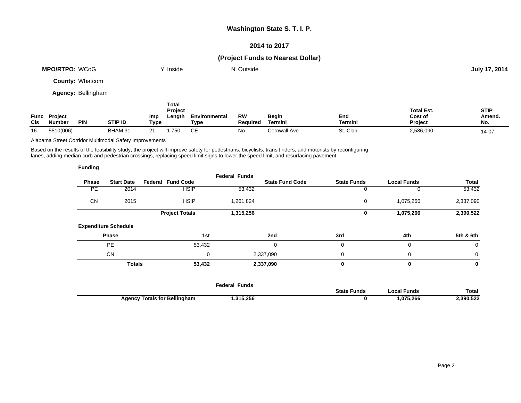#### **Washington State S. T. I. P.**

#### **2014 to 2017**

### **(Project Funds to Nearest Dollar)**

| <b>MPO/RTPO: WCoG</b>  | Y Inside       | N Outside |           | July 17, 2014 |
|------------------------|----------------|-----------|-----------|---------------|
| <b>County: Whatcom</b> |                |           |           |               |
| Agency: Bellingham     |                |           |           |               |
|                        | Total<br>_ _ _ |           | _ _ _ _ _ | $- - - -$     |

| Func<br><b>CIs</b> | <b>Project</b><br><b>Number</b> | <b>PIN</b> | <b>STIP ID</b> | Imp<br>Type | Project<br>Length | Environmental<br>⊤ур⊾ | RW<br><b>Required</b> | Begin<br>Termini | End<br>Termini | <b>Total Est.</b><br>Cost of<br><b>Project</b> | <b>STIP</b><br>Amend.<br>No. |
|--------------------|---------------------------------|------------|----------------|-------------|-------------------|-----------------------|-----------------------|------------------|----------------|------------------------------------------------|------------------------------|
| 16                 | 5510(006)                       |            | BHAM 31        | $\sim$      | .750              | $\sim$ $-$            | No                    | Cornwall Ave     | St. Clair      | 2,586,090                                      | 14-07                        |

Alabama Street Corridor Multimodal Safety Improvements

Based on the results of the feasibility study, the project will improve safety for pedestrians, bicyclists, transit riders, and motorists by reconfiguring lanes, adding median curb and pedestrian crossings, replacing speed limit signs to lower the speed limit, and resurfacing pavement.

| <b>Funding</b> |                             |                          |                      |                        |                    |                    |           |
|----------------|-----------------------------|--------------------------|----------------------|------------------------|--------------------|--------------------|-----------|
| <b>Phase</b>   | <b>Start Date</b>           | <b>Federal Fund Code</b> | <b>Federal Funds</b> | <b>State Fund Code</b> | <b>State Funds</b> | <b>Local Funds</b> | Total     |
| <b>PE</b>      | 2014                        | <b>HSIP</b>              | 53,432               |                        | 0                  | 0                  | 53,432    |
| <b>CN</b>      | 2015                        | <b>HSIP</b>              | 1,261,824            |                        | 0                  | 1,075,266          | 2,337,090 |
|                |                             | <b>Project Totals</b>    | 1,315,256            |                        | 0                  | 1,075,266          | 2,390,522 |
|                | <b>Expenditure Schedule</b> |                          |                      |                        |                    |                    |           |
|                | Phase                       | 1st                      |                      | 2nd                    | 3rd                | 4th                | 5th & 6th |
|                | PE                          | 53,432                   |                      | 0                      | 0                  | $\mathbf 0$        | 0         |
|                | <b>CN</b>                   |                          | 0                    | 2,337,090              | $\mathbf 0$        | $\mathbf 0$        | 0         |
|                | <b>Totals</b>               | 53,432                   |                      | 2,337,090              | 0                  | 0                  | 0         |
|                |                             |                          |                      |                        |                    |                    |           |

|                                     | Federal Funds |                    |              |           |
|-------------------------------------|---------------|--------------------|--------------|-----------|
|                                     |               | <b>State Funds</b> | `.ocal Funds | Total     |
| <b>Agency Totals for Bellingham</b> | ,315,256      |                    | .075,266     | 2,390,522 |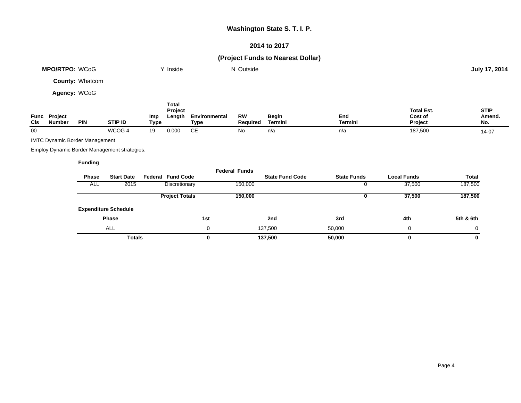### **Washington State S. T. I. P.**

### **2014 to 2017**

### **(Project Funds to Nearest Dollar)**

|             | <b>MPO/RTPO: WCoG</b>                 |                 |                                              |                    | Y Inside                          |                       | N Outside             |                         |                    |                                         | July 17, 2014                |
|-------------|---------------------------------------|-----------------|----------------------------------------------|--------------------|-----------------------------------|-----------------------|-----------------------|-------------------------|--------------------|-----------------------------------------|------------------------------|
|             |                                       | County: Whatcom |                                              |                    |                                   |                       |                       |                         |                    |                                         |                              |
|             | Agency: WCoG                          |                 |                                              |                    |                                   |                       |                       |                         |                    |                                         |                              |
| Func<br>CIs | Project<br><b>Number</b>              | <b>PIN</b>      | STIP ID                                      | <b>Imp</b><br>Type | <b>Total</b><br>Project<br>Length | Environmental<br>Type | <b>RW</b><br>Required | <b>Begin</b><br>Termini | End<br>Termini     | <b>Total Est.</b><br>Cost of<br>Project | <b>STIP</b><br>Amend.<br>No. |
| $00\,$      |                                       |                 | WCOG 4                                       | 19                 | 0.000                             | <b>CE</b>             | No                    | n/a                     | n/a                | 187,500                                 | 14-07                        |
|             | <b>IMTC Dynamic Border Management</b> |                 |                                              |                    |                                   |                       |                       |                         |                    |                                         |                              |
|             |                                       |                 | Employ Dynamic Border Management strategies. |                    |                                   |                       |                       |                         |                    |                                         |                              |
|             |                                       | <b>Funding</b>  |                                              |                    |                                   |                       |                       |                         |                    |                                         |                              |
|             |                                       | Phase           | <b>Start Date</b>                            |                    | <b>Federal Fund Code</b>          |                       | <b>Federal Funds</b>  | <b>State Fund Code</b>  | <b>State Funds</b> | <b>Local Funds</b>                      | Total                        |
|             |                                       | ALL             | 2015                                         |                    | Discretionary                     |                       | 150,000               |                         | 0                  | 37,500                                  | 187,500                      |
|             |                                       |                 |                                              |                    | <b>Project Totals</b>             |                       | 150,000               |                         | 0                  | 37,500                                  | 187,500                      |
|             |                                       |                 | <b>Expenditure Schedule</b>                  |                    |                                   |                       |                       |                         |                    |                                         |                              |
|             |                                       |                 | Phase                                        |                    |                                   | 1st                   |                       | 2nd                     | 3rd                | 4th                                     | 5th & 6th                    |
|             |                                       |                 | ALL                                          |                    |                                   | 0                     |                       | 137,500                 | 50,000             | 0                                       | 0                            |
|             |                                       |                 | <b>Totals</b>                                |                    |                                   | 0                     |                       | 137,500                 | 50,000             | 0                                       | 0                            |